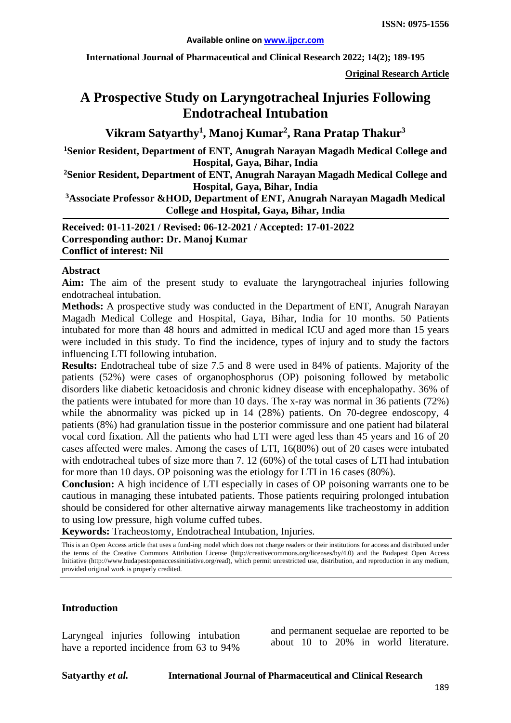**International Journal of Pharmaceutical and Clinical Research 2022; 14(2); 189-195**

**Original Research Article**

# **A Prospective Study on Laryngotracheal Injuries Following Endotracheal Intubation**

**Vikram Satyarthy1 , Manoj Kumar2 , Rana Pratap Thakur3**

**1Senior Resident, Department of ENT, Anugrah Narayan Magadh Medical College and Hospital, Gaya, Bihar, India**

**2 Senior Resident, Department of ENT, Anugrah Narayan Magadh Medical College and Hospital, Gaya, Bihar, India**

**3 Associate Professor &HOD, Department of ENT, Anugrah Narayan Magadh Medical College and Hospital, Gaya, Bihar, India**

**Received: 01-11-2021 / Revised: 06-12-2021 / Accepted: 17-01-2022 Corresponding author: Dr. Manoj Kumar Conflict of interest: Nil**

#### **Abstract**

**Aim:** The aim of the present study to evaluate the laryngotracheal injuries following endotracheal intubation.

**Methods:** A prospective study was conducted in the Department of ENT, Anugrah Narayan Magadh Medical College and Hospital, Gaya, Bihar, India for 10 months. 50 Patients intubated for more than 48 hours and admitted in medical ICU and aged more than 15 years were included in this study. To find the incidence, types of injury and to study the factors influencing LTI following intubation.

**Results:** Endotracheal tube of size 7.5 and 8 were used in 84% of patients. Majority of the patients (52%) were cases of organophosphorus (OP) poisoning followed by metabolic disorders like diabetic ketoacidosis and chronic kidney disease with encephalopathy. 36% of the patients were intubated for more than 10 days. The x-ray was normal in 36 patients (72%) while the abnormality was picked up in 14 (28%) patients. On 70-degree endoscopy, 4 patients (8%) had granulation tissue in the posterior commissure and one patient had bilateral vocal cord fixation. All the patients who had LTI were aged less than 45 years and 16 of 20 cases affected were males. Among the cases of LTI, 16(80%) out of 20 cases were intubated with endotracheal tubes of size more than 7.12 (60%) of the total cases of LTI had intubation for more than 10 days. OP poisoning was the etiology for LTI in 16 cases (80%).

**Conclusion:** A high incidence of LTI especially in cases of OP poisoning warrants one to be cautious in managing these intubated patients. Those patients requiring prolonged intubation should be considered for other alternative airway managements like tracheostomy in addition to using low pressure, high volume cuffed tubes.

**Keywords:** Tracheostomy, Endotracheal Intubation, Injuries.

#### **Introduction**

Laryngeal injuries following intubation have a reported incidence from 63 to 94%

and permanent sequelae are reported to be about 10 to 20% in world literature.

This is an Open Access article that uses a fund-ing model which does not charge readers or their institutions for access and distributed under the terms of the Creative Commons Attribution License (http://creativecommons.org/licenses/by/4.0) and the Budapest Open Access Initiative (http://www.budapestopenaccessinitiative.org/read), which permit unrestricted use, distribution, and reproduction in any medium, provided original work is properly credited.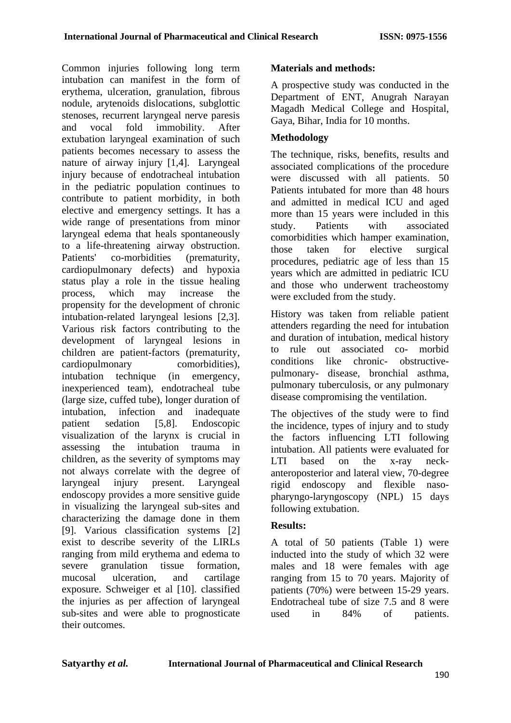Common injuries following long term intubation can manifest in the form of erythema, ulceration, granulation, fibrous nodule, arytenoids dislocations, subglottic stenoses, recurrent laryngeal nerve paresis<br>and vocal fold immobility. After and vocal fold immobility. After extubation laryngeal examination of such patients becomes necessary to assess the nature of airway injury [1,4]. Laryngeal injury because of endotracheal intubation in the pediatric population continues to contribute to patient morbidity, in both elective and emergency settings. It has a wide range of presentations from minor laryngeal edema that heals spontaneously to a life-threatening airway obstruction. Patients' co-morbidities (prematurity, cardiopulmonary defects) and hypoxia status play a role in the tissue healing process, which may increase the propensity for the development of chronic intubation-related laryngeal lesions [2,3]. Various risk factors contributing to the development of laryngeal lesions in children are patient-factors (prematurity, cardiopulmonary comorbidities), intubation technique (in emergency, inexperienced team), endotracheal tube (large size, cuffed tube), longer duration of intubation, infection and inadequate patient sedation [5,8]. Endoscopic visualization of the larynx is crucial in assessing the intubation trauma in children, as the severity of symptoms may not always correlate with the degree of laryngeal injury present. Laryngeal endoscopy provides a more sensitive guide in visualizing the laryngeal sub-sites and characterizing the damage done in them [9]. Various classification systems [2] exist to describe severity of the LIRLs ranging from mild erythema and edema to severe granulation tissue formation, mucosal ulceration, and cartilage exposure. Schweiger et al [10]. classified the injuries as per affection of laryngeal sub-sites and were able to prognosticate their outcomes.

# **Materials and methods:**

A prospective study was conducted in the Department of ENT, Anugrah Narayan Magadh Medical College and Hospital, Gaya, Bihar, India for 10 months.

## **Methodology**

The technique, risks, benefits, results and associated complications of the procedure were discussed with all patients. 50 Patients intubated for more than 48 hours and admitted in medical ICU and aged more than 15 years were included in this study. Patients with associated comorbidities which hamper examination, those taken for elective surgical procedures, pediatric age of less than 15 years which are admitted in pediatric ICU and those who underwent tracheostomy were excluded from the study.

History was taken from reliable patient attenders regarding the need for intubation and duration of intubation, medical history to rule out associated co- morbid conditions like chronic- obstructivepulmonary- disease, bronchial asthma, pulmonary tuberculosis, or any pulmonary disease compromising the ventilation.

The objectives of the study were to find the incidence, types of injury and to study the factors influencing LTI following intubation. All patients were evaluated for LTI based on the x-ray neckanteroposterior and lateral view, 70-degree rigid endoscopy and flexible nasopharyngo-laryngoscopy (NPL) 15 days following extubation.

#### **Results:**

A total of 50 patients (Table 1) were inducted into the study of which 32 were males and 18 were females with age ranging from 15 to 70 years. Majority of patients (70%) were between 15-29 years. Endotracheal tube of size 7.5 and 8 were used in 84% of patients.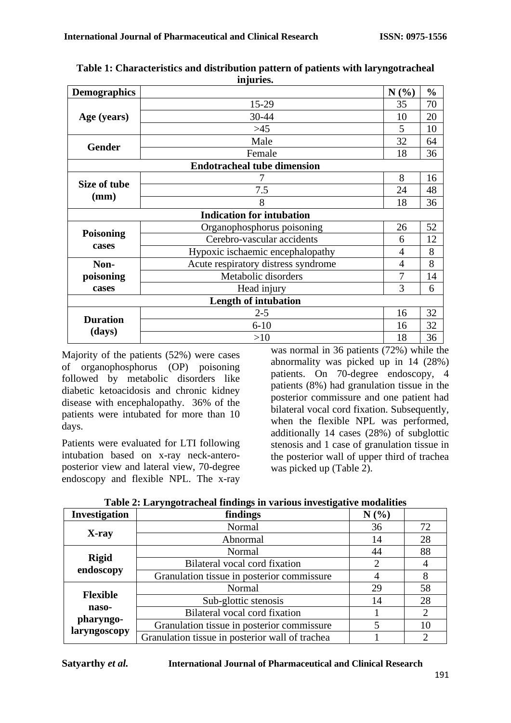| <b>Demographics</b> |                                     | N(%)                     | $\frac{0}{0}$ |
|---------------------|-------------------------------------|--------------------------|---------------|
|                     | 15-29                               | 35                       | 70            |
| Age (years)         | 30-44                               | 10                       | 20            |
|                     | $>45$                               | 5                        | 10            |
| <b>Gender</b>       | Male                                | 32                       | 64            |
|                     | Female                              | 18                       | 36            |
|                     | <b>Endotracheal tube dimension</b>  |                          |               |
|                     |                                     | 8                        | 16            |
| Size of tube        | 7.5                                 | 24                       | 48            |
| (mm)                | 8                                   | 18                       | 36            |
|                     | <b>Indication for intubation</b>    |                          |               |
|                     | Organophosphorus poisoning          | 26                       | 52            |
| <b>Poisoning</b>    | Cerebro-vascular accidents          | 6                        | 12            |
| cases               | Hypoxic ischaemic encephalopathy    | $\overline{\mathcal{A}}$ | 8             |
| Non-                | Acute respiratory distress syndrome | 4                        | 8             |
| poisoning           | Metabolic disorders                 |                          | 14            |
| cases               | Head injury                         | 3                        | 6             |
|                     | <b>Length of intubation</b>         |                          |               |
| <b>Duration</b>     | $2 - 5$                             | 16                       | 32            |
|                     | $6 - 10$                            | 16                       | 32            |
| (days)              | >10                                 | 18                       | 36            |

**Table 1: Characteristics and distribution pattern of patients with laryngotracheal injuries.**

Majority of the patients (52%) were cases of organophosphorus (OP) poisoning followed by metabolic disorders like diabetic ketoacidosis and chronic kidney disease with encephalopathy. 36% of the patients were intubated for more than 10 days.

Patients were evaluated for LTI following intubation based on x-ray neck-anteroposterior view and lateral view, 70-degree endoscopy and flexible NPL. The x-ray

was normal in 36 patients (72%) while the abnormality was picked up in 14 (28%) patients. On 70-degree endoscopy, 4 patients (8%) had granulation tissue in the posterior commissure and one patient had bilateral vocal cord fixation. Subsequently, when the flexible NPL was performed. additionally 14 cases (28%) of subglottic stenosis and 1 case of granulation tissue in the posterior wall of upper third of trachea was picked up (Table 2).

| <b>Investigation</b>      | $\mathbf{1}$ and $\mathbf{2}$ and $\mathbf{3}$ and a checker through the stational meson parts in contraction<br>findings | N(%) |    |
|---------------------------|---------------------------------------------------------------------------------------------------------------------------|------|----|
|                           | Normal                                                                                                                    | 36   | 72 |
| X-ray                     | Abnormal                                                                                                                  | 14   | 28 |
|                           | Normal                                                                                                                    | 44   | 88 |
| <b>Rigid</b><br>endoscopy | Bilateral vocal cord fixation                                                                                             | 2    |    |
|                           | Granulation tissue in posterior commissure                                                                                |      | 8  |
|                           | Normal                                                                                                                    | 29   | 58 |
| <b>Flexible</b>           | Sub-glottic stenosis                                                                                                      | 14   | 28 |
| naso-                     | Bilateral vocal cord fixation                                                                                             |      | 2  |
| pharyngo-<br>laryngoscopy | Granulation tissue in posterior commissure                                                                                |      | 10 |
|                           | Granulation tissue in posterior wall of trachea                                                                           |      | ∍  |

**Table 2: Laryngotracheal findings in various investigative modalities**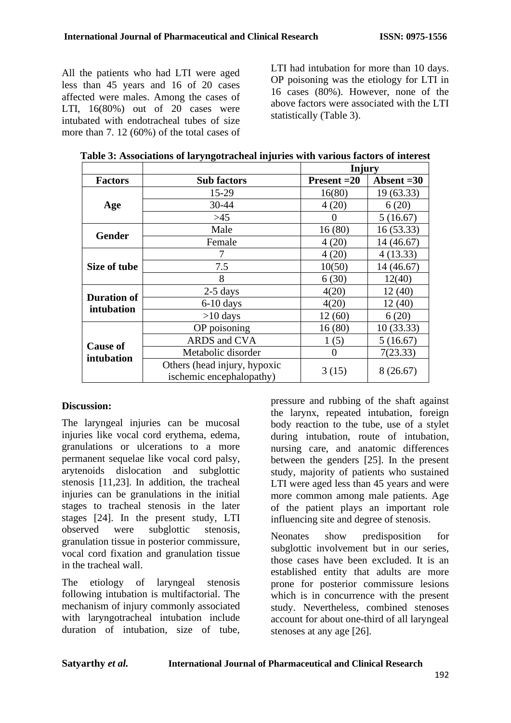All the patients who had LTI were aged less than 45 years and 16 of 20 cases affected were males. Among the cases of LTI,  $16(80%)$  out of 20 cases were intubated with endotracheal tubes of size more than 7. 12 (60%) of the total cases of LTI had intubation for more than 10 days. OP poisoning was the etiology for LTI in 16 cases (80%). However, none of the above factors were associated with the LTI statistically (Table 3).

| Table 3: Associations of laryngotracheal injuries with various factors of interest |  |  |  |
|------------------------------------------------------------------------------------|--|--|--|
|                                                                                    |  |  |  |

|                               |                              | Injury         |              |
|-------------------------------|------------------------------|----------------|--------------|
| <b>Factors</b>                | <b>Sub factors</b>           | $Present = 20$ | Absent $=30$ |
|                               | 15-29                        | 16(80)         | 19(63.33)    |
| Age                           | 30-44                        | 4(20)          | 6(20)        |
|                               | >45                          | $\theta$       | 5(16.67)     |
| <b>Gender</b>                 | Male                         | 16(80)         | 16(53.33)    |
|                               | Female                       | 4(20)          | 14 (46.67)   |
| Size of tube                  |                              | 4(20)          | 4(13.33)     |
|                               | 7.5                          | 10(50)         | 14 (46.67)   |
|                               | 8                            | 6(30)          | 12(40)       |
| <b>Duration of</b>            | $2-5$ days                   | 4(20)          | 12(40)       |
| intubation                    | $6-10$ days                  | 4(20)          | 12(40)       |
|                               | $>10$ days                   | 12(60)         | 6(20)        |
|                               | OP poisoning                 | 16(80)         | 10(33.33)    |
|                               | ARDS and CVA                 | 1(5)           | 5(16.67)     |
| <b>Cause of</b><br>intubation | Metabolic disorder           | $\Omega$       | 7(23.33)     |
|                               | Others (head injury, hypoxic | 3(15)          | 8(26.67)     |
|                               | ischemic encephalopathy)     |                |              |

# **Discussion:**

The laryngeal injuries can be mucosal injuries like vocal cord erythema, edema, granulations or ulcerations to a more permanent sequelae like vocal cord palsy, arytenoids dislocation and subglottic stenosis [11,23]. In addition, the tracheal injuries can be granulations in the initial stages to tracheal stenosis in the later stages [24]. In the present study, LTI observed were subglottic stenosis, granulation tissue in posterior commissure, vocal cord fixation and granulation tissue in the tracheal wall.

The etiology of laryngeal stenosis following intubation is multifactorial. The mechanism of injury commonly associated with laryngotracheal intubation include duration of intubation, size of tube,

pressure and rubbing of the shaft against the larynx, repeated intubation, foreign body reaction to the tube, use of a stylet during intubation, route of intubation, nursing care, and anatomic differences between the genders [25]. In the present study, majority of patients who sustained LTI were aged less than 45 years and were more common among male patients. Age of the patient plays an important role influencing site and degree of stenosis.

Neonates show predisposition for subglottic involvement but in our series, those cases have been excluded. It is an established entity that adults are more prone for posterior commissure lesions which is in concurrence with the present study. Nevertheless, combined stenoses account for about one-third of all laryngeal stenoses at any age [26].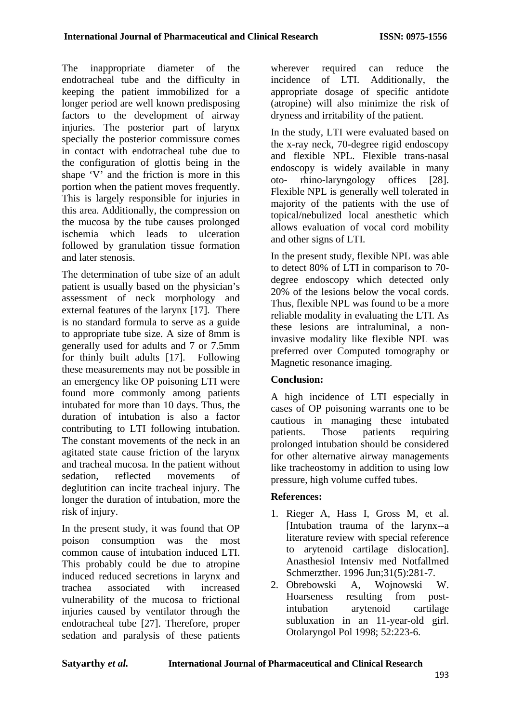The inappropriate diameter of the endotracheal tube and the difficulty in keeping the patient immobilized for a longer period are well known predisposing factors to the development of airway injuries. The posterior part of larynx specially the posterior commissure comes in contact with endotracheal tube due to the configuration of glottis being in the shape 'V' and the friction is more in this portion when the patient moves frequently. This is largely responsible for injuries in this area. Additionally, the compression on the mucosa by the tube causes prolonged ischemia which leads to ulceration followed by granulation tissue formation and later stenosis.

The determination of tube size of an adult patient is usually based on the physician's assessment of neck morphology and external features of the larynx [17]. There is no standard formula to serve as a guide to appropriate tube size. A size of 8mm is generally used for adults and 7 or 7.5mm for thinly built adults [17]. Following these measurements may not be possible in an emergency like OP poisoning LTI were found more commonly among patients intubated for more than 10 days. Thus, the duration of intubation is also a factor contributing to LTI following intubation. The constant movements of the neck in an agitated state cause friction of the larynx and tracheal mucosa. In the patient without sedation, reflected movements of deglutition can incite tracheal injury. The longer the duration of intubation, more the risk of injury.

In the present study, it was found that OP poison consumption was the most common cause of intubation induced LTI. This probably could be due to atropine induced reduced secretions in larynx and trachea associated with increased vulnerability of the mucosa to frictional injuries caused by ventilator through the endotracheal tube [27]. Therefore, proper sedation and paralysis of these patients

wherever required can reduce the incidence of LTI. Additionally, the appropriate dosage of specific antidote (atropine) will also minimize the risk of dryness and irritability of the patient.

In the study, LTI were evaluated based on the x-ray neck, 70-degree rigid endoscopy and flexible NPL. Flexible trans-nasal endoscopy is widely available in many oto- rhino-laryngology offices [28]. Flexible NPL is generally well tolerated in majority of the patients with the use of topical/nebulized local anesthetic which allows evaluation of vocal cord mobility and other signs of LTI.

In the present study, flexible NPL was able to detect 80% of LTI in comparison to 70 degree endoscopy which detected only 20% of the lesions below the vocal cords. Thus, flexible NPL was found to be a more reliable modality in evaluating the LTI. As these lesions are intraluminal, a noninvasive modality like flexible NPL was preferred over Computed tomography or Magnetic resonance imaging.

#### **Conclusion:**

A high incidence of LTI especially in cases of OP poisoning warrants one to be cautious in managing these intubated patients. Those patients requiring prolonged intubation should be considered for other alternative airway managements like tracheostomy in addition to using low pressure, high volume cuffed tubes.

# **References:**

- 1. Rieger A, Hass I, Gross M, et al. [Intubation trauma of the larynx--a literature review with special reference to arytenoid cartilage dislocation]. Anasthesiol Intensiv med Notfallmed Schmerzther. 1996 Jun;31(5):281-7.
- 2. Obrebowski A, Wojnowski W. Hoarseness resulting from postintubation arytenoid cartilage subluxation in an 11-year-old girl. Otolaryngol Pol 1998; 52:223-6.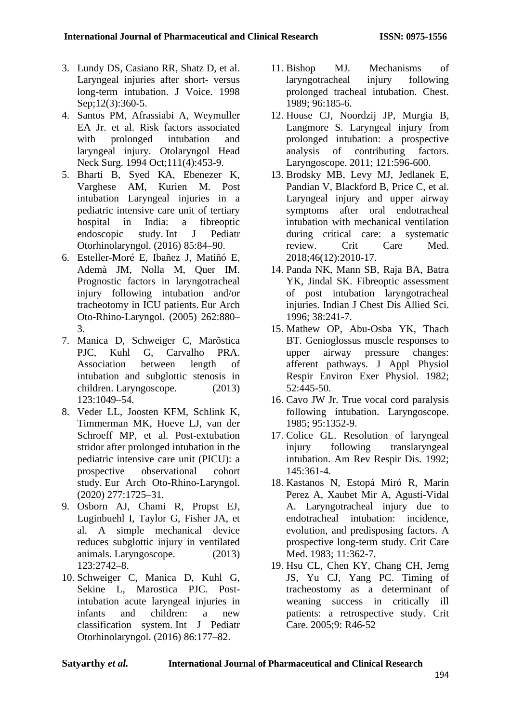- 3. Lundy DS, Casiano RR, Shatz D, et al. Laryngeal injuries after short- versus long-term intubation. J Voice. 1998 Sep;12(3):360-5.
- 4. Santos PM, Afrassiabi A, Weymuller EA Jr. et al. Risk factors associated with prolonged intubation and laryngeal injury. Otolaryngol Head Neck Surg. 1994 Oct;111(4):453-9.
- 5. Bharti B, Syed KA, Ebenezer K, Varghese AM, Kurien M. Post intubation Laryngeal injuries in a pediatric intensive care unit of tertiary hospital in India: a fibreoptic endoscopic study. Int J Pediatr Otorhinolaryngol. (2016) 85:84–90.
- 6. Esteller-Moré E, Ibañez J, Matiñó E, Ademà JM, Nolla M, Quer IM. Prognostic factors in laryngotracheal injury following intubation and/or tracheotomy in ICU patients. Eur Arch Oto-Rhino-Laryngol. (2005) 262:880– 3.
- 7. Manica D, Schweiger C, Marõstica PJC, Kuhl G, Carvalho PRA. Association between length of intubation and subglottic stenosis in children. Laryngoscope. (2013) 123:1049–54.
- 8. Veder LL, Joosten KFM, Schlink K, Timmerman MK, Hoeve LJ, van der Schroeff MP, et al. Post-extubation stridor after prolonged intubation in the pediatric intensive care unit (PICU): a prospective observational cohort study. Eur Arch Oto-Rhino-Laryngol. (2020) 277:1725–31.
- 9. Osborn AJ, Chami R, Propst EJ, Luginbuehl I, Taylor G, Fisher JA, et al. A simple mechanical device reduces subglottic injury in ventilated animals. Laryngoscope. (2013) 123:2742–8.
- 10. Schweiger C, Manica D, Kuhl G, Sekine L, Marostica PJC. Postintubation acute laryngeal injuries in infants and children: a new classification system. Int J Pediatr Otorhinolaryngol. (2016) 86:177–82.
- 11. Bishop MJ. Mechanisms of laryngotracheal injury following prolonged tracheal intubation. Chest. 1989; 96:185-6.
- 12. House CJ, Noordzij JP, Murgia B, Langmore S. Laryngeal injury from prolonged intubation: a prospective analysis of contributing factors. Laryngoscope. 2011; 121:596-600.
- 13. Brodsky MB, Levy MJ, Jedlanek E, Pandian V, Blackford B, Price C, et al. Laryngeal injury and upper airway symptoms after oral endotracheal intubation with mechanical ventilation during critical care: a systematic review. Crit Care Med. 2018;46(12):2010-17.
- 14. Panda NK, Mann SB, Raja BA, Batra YK, Jindal SK. Fibreoptic assessment of post intubation laryngotracheal injuries. Indian J Chest Dis Allied Sci. 1996; 38:241-7.
- 15. Mathew OP, Abu-Osba YK, Thach BT. Genioglossus muscle responses to upper airway pressure changes: afferent pathways. J Appl Physiol Respir Environ Exer Physiol. 1982; 52:445-50.
- 16. Cavo JW Jr. True vocal cord paralysis following intubation. Laryngoscope. 1985; 95:1352-9.
- 17. Colice GL. Resolution of laryngeal injury following translaryngeal intubation. Am Rev Respir Dis. 1992; 145:361-4.
- 18. Kastanos N, Estopá Miró R, Marín Perez A, Xaubet Mir A, Agustí-Vidal A. Laryngotracheal injury due to endotracheal intubation: incidence, evolution, and predisposing factors. A prospective long-term study. Crit Care Med. 1983; 11:362-7.
- 19. Hsu CL, Chen KY, Chang CH, Jerng JS, Yu CJ, Yang PC. Timing of tracheostomy as a determinant of weaning success in critically ill patients: a retrospective study. Crit Care. 2005;9: R46-52